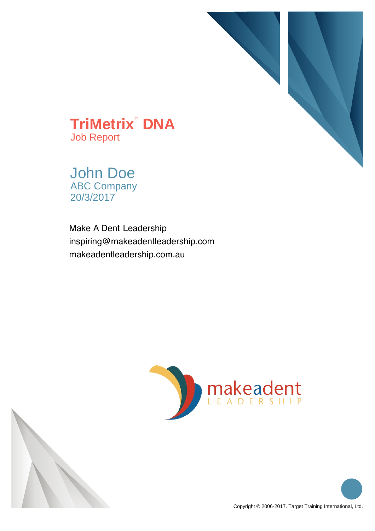

**TriMetrix**®  **DNA** Job Report

John Doe ABC Company 20/3/2017

 inspiring@makeadentleadership.com Make A Dent Leadership makeadentleadership.com.au



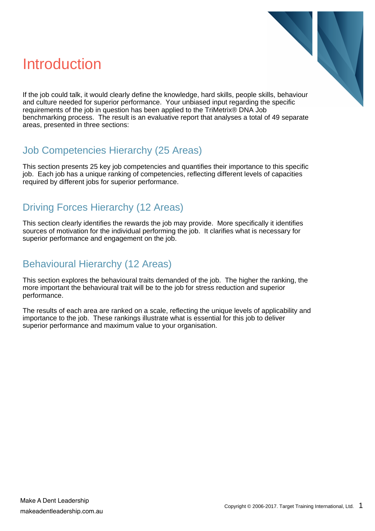#### Introduction



If the job could talk, it would clearly define the knowledge, hard skills, people skills, behaviour and culture needed for superior performance. Your unbiased input regarding the specific requirements of the job in question has been applied to the TriMetrix® DNA Job benchmarking process. The result is an evaluative report that analyses a total of 49 separate areas, presented in three sections:

#### Job Competencies Hierarchy (25 Areas)

This section presents 25 key job competencies and quantifies their importance to this specific job. Each job has a unique ranking of competencies, reflecting different levels of capacities required by different jobs for superior performance.

#### Driving Forces Hierarchy (12 Areas)

This section clearly identifies the rewards the job may provide. More specifically it identifies sources of motivation for the individual performing the job. It clarifies what is necessary for superior performance and engagement on the job.

#### Behavioural Hierarchy (12 Areas)

This section explores the behavioural traits demanded of the job. The higher the ranking, the more important the behavioural trait will be to the job for stress reduction and superior performance.

The results of each area are ranked on a scale, reflecting the unique levels of applicability and importance to the job. These rankings illustrate what is essential for this job to deliver superior performance and maximum value to your organisation.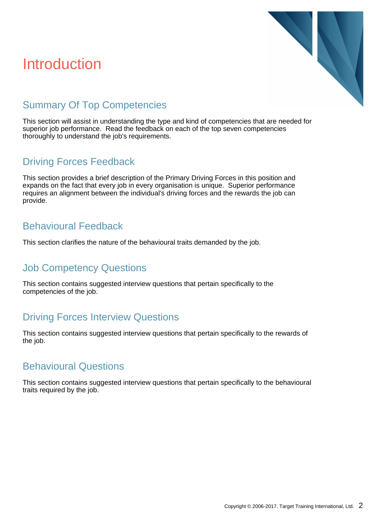#### Introduction



#### Summary Of Top Competencies

This section will assist in understanding the type and kind of competencies that are needed for superior job performance. Read the feedback on each of the top seven competencies thoroughly to understand the job's requirements.

#### Driving Forces Feedback

This section provides a brief description of the Primary Driving Forces in this position and expands on the fact that every job in every organisation is unique. Superior performance requires an alignment between the individual's driving forces and the rewards the job can provide.

#### Behavioural Feedback

This section clarifies the nature of the behavioural traits demanded by the job.

#### Job Competency Questions

This section contains suggested interview questions that pertain specifically to the competencies of the job.

#### Driving Forces Interview Questions

This section contains suggested interview questions that pertain specifically to the rewards of the job.

#### Behavioural Questions

This section contains suggested interview questions that pertain specifically to the behavioural traits required by the job.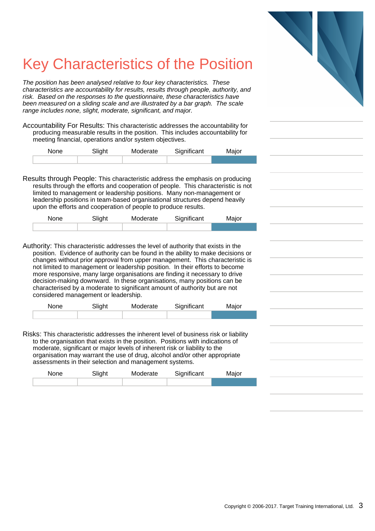## Key Characteristics of the Position

The position has been analysed relative to four key characteristics. These characteristics are accountability for results, results through people, authority, and risk. Based on the responses to the questionnaire, these characteristics have been measured on a sliding scale and are illustrated by a bar graph. The scale range includes none, slight, moderate, significant, and major.

Accountability For Results: This characteristic addresses the accountability for producing measurable results in the position. This includes accountability for meeting financial, operations and/or system objectives.

| None | Slight | Moderate | Significant | Major |
|------|--------|----------|-------------|-------|
|      |        |          |             |       |

Results through People: This characteristic address the emphasis on producing results through the efforts and cooperation of people. This characteristic is not limited to management or leadership positions. Many non-management or leadership positions in team-based organisational structures depend heavily upon the efforts and cooperation of people to produce results.

| None | Slight | Moderate | Significant | Major |
|------|--------|----------|-------------|-------|
|      |        |          |             |       |

Authority: This characteristic addresses the level of authority that exists in the position. Evidence of authority can be found in the ability to make decisions or changes without prior approval from upper management. This characteristic is not limited to management or leadership position. In their efforts to become more responsive, many large organisations are finding it necessary to drive decision-making downward. In these organisations, many positions can be characterised by a moderate to significant amount of authority but are not considered management or leadership.

| <b>None</b> | Slight | Moderate | Significant | Major |
|-------------|--------|----------|-------------|-------|
|             |        |          |             |       |

Risks: This characteristic addresses the inherent level of business risk or liability to the organisation that exists in the position. Positions with indications of moderate, significant or major levels of inherent risk or liability to the organisation may warrant the use of drug, alcohol and/or other appropriate assessments in their selection and management systems.

| <b>None</b> | Slight | Moderate | Significant | Major |
|-------------|--------|----------|-------------|-------|
|             |        |          |             |       |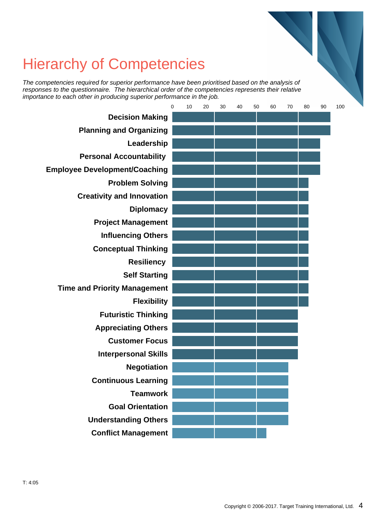#### Hierarchy of Competencies

The competencies required for superior performance have been prioritised based on the analysis of responses to the questionnaire. The hierarchical order of the competencies represents their relative importance to each other in producing superior performance in the job.

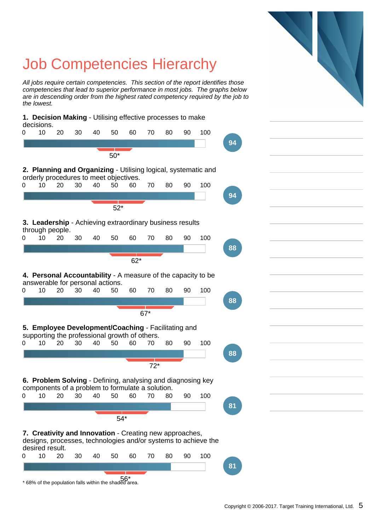

# Job Competencies Hierarchy

Copyright © 2006-2017. Target Training International, Ltd. 5

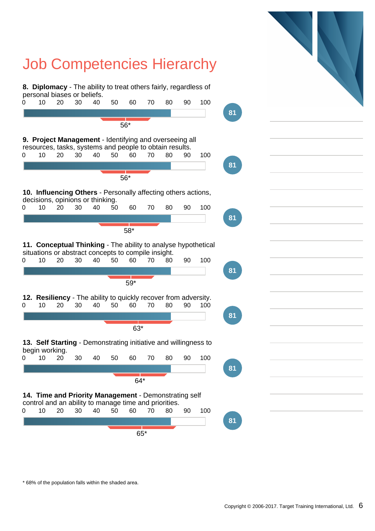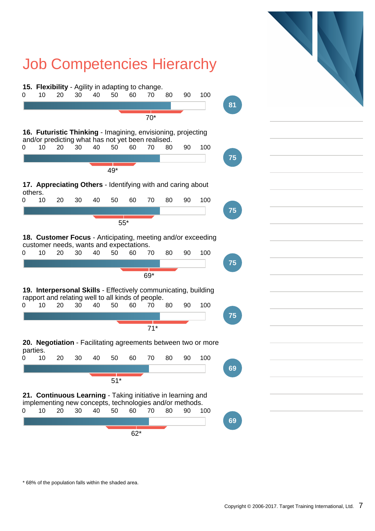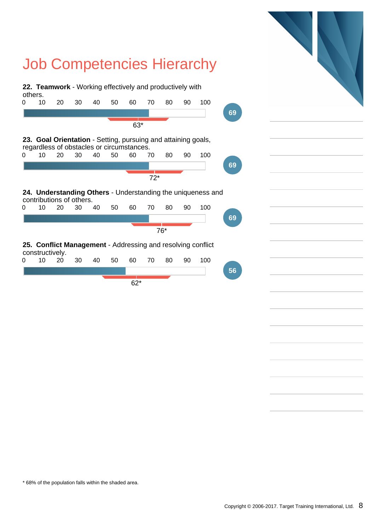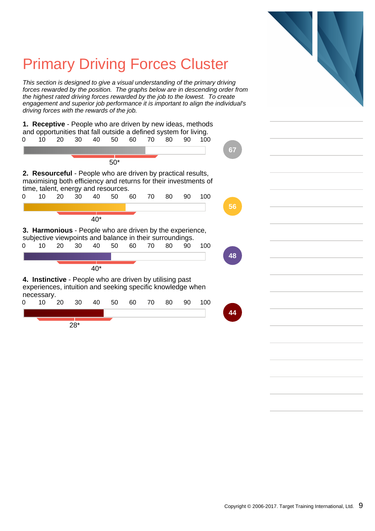# Primary Driving Forces Cluster

This section is designed to give a visual understanding of the primary driving forces rewarded by the position. The graphs below are in descending order from the highest rated driving forces rewarded by the job to the lowest. To create engagement and superior job performance it is important to align the individual's driving forces with the rewards of the job.

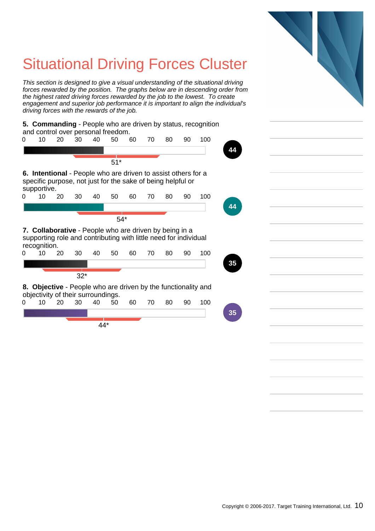### Situational Driving Forces Cluster

This section is designed to give a visual understanding of the situational driving forces rewarded by the position. The graphs below are in descending order from the highest rated driving forces rewarded by the job to the lowest. To create engagement and superior job performance it is important to align the individual's driving forces with the rewards of the job.

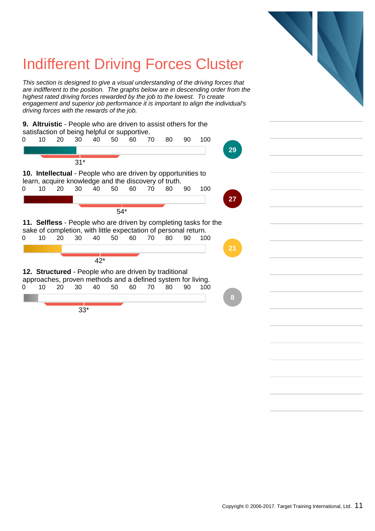### Indifferent Driving Forces Cluster

This section is designed to give a visual understanding of the driving forces that are indifferent to the position. The graphs below are in descending order from the highest rated driving forces rewarded by the job to the lowest. To create engagement and superior job performance it is important to align the individual's driving forces with the rewards of the job.



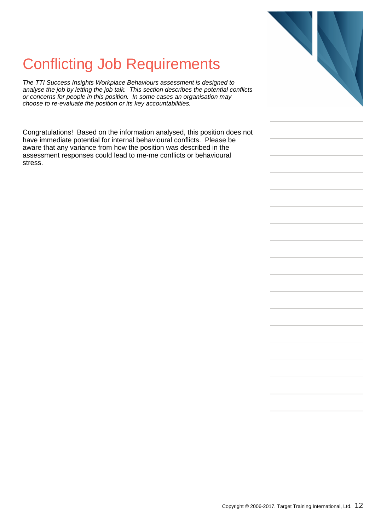#### Conflicting Job Requirements

The TTI Success Insights Workplace Behaviours assessment is designed to analyse the job by letting the job talk. This section describes the potential conflicts or concerns for people in this position. In some cases an organisation may choose to re-evaluate the position or its key accountabilities.

Congratulations! Based on the information analysed, this position does not have immediate potential for internal behavioural conflicts. Please be aware that any variance from how the position was described in the assessment responses could lead to me-me conflicts or behavioural stress.

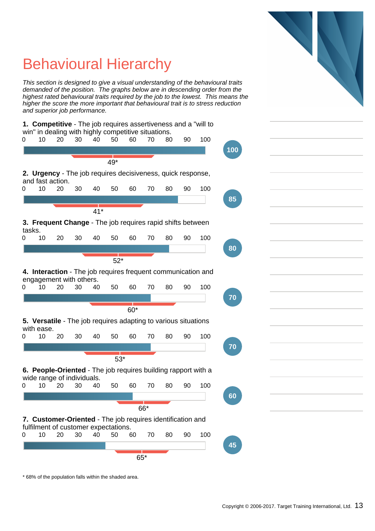### Behavioural Hierarchy

This section is designed to give a visual understanding of the behavioural traits demanded of the position. The graphs below are in descending order from the highest rated behavioural traits required by the job to the lowest. This means the higher the score the more important that behavioural trait is to stress reduction and superior job performance.

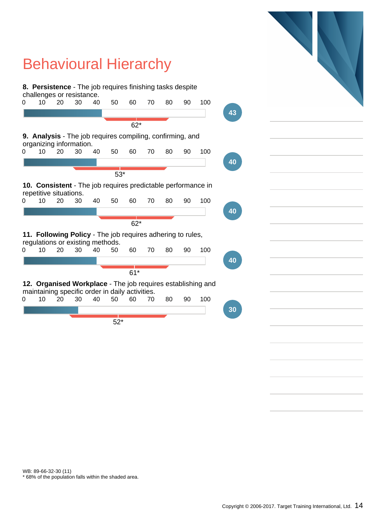

WB: 89-66-32-30 (11)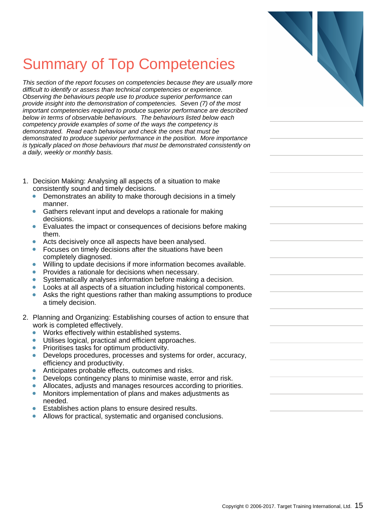### Summary of Top Competencies

This section of the report focuses on competencies because they are usually more difficult to identify or assess than technical competencies or experience. Observing the behaviours people use to produce superior performance can provide insight into the demonstration of competencies. Seven (7) of the most important competencies required to produce superior performance are described below in terms of observable behaviours. The behaviours listed below each competency provide examples of some of the ways the competency is demonstrated. Read each behaviour and check the ones that must be demonstrated to produce superior performance in the position. More importance is typically placed on those behaviours that must be demonstrated consistently on a daily, weekly or monthly basis.

- 1. Decision Making: Analysing all aspects of a situation to make consistently sound and timely decisions.
	- Demonstrates an ability to make thorough decisions in a timely  $\bullet$ manner.
	- Gathers relevant input and develops a rationale for making  $\bullet$ decisions.
	- Evaluates the impact or consequences of decisions before making  $\bullet$ them.
	- Acts decisively once all aspects have been analysed.  $\blacksquare$
	- Focuses on timely decisions after the situations have been  $\bullet$ completely diagnosed.
	- Willing to update decisions if more information becomes available.  $\blacksquare$
	- Provides a rationale for decisions when necessary.
	- Systematically analyses information before making a decision.  $\bullet$
	- Looks at all aspects of a situation including historical components.
	- Ä Asks the right questions rather than making assumptions to produce a timely decision.
- 2. Planning and Organizing: Establishing courses of action to ensure that work is completed effectively.
	- Works effectively within established systems.  $\bullet$
	- $\bullet$ Utilises logical, practical and efficient approaches.
	- $\blacksquare$ Prioritises tasks for optimum productivity.
	- $\bullet$ Develops procedures, processes and systems for order, accuracy, efficiency and productivity.
	- Anticipates probable effects, outcomes and risks.
	- $\bullet$ Develops contingency plans to minimise waste, error and risk.
	- Allocates, adjusts and manages resources according to priorities.  $\bullet$
	- $\bullet$ Monitors implementation of plans and makes adjustments as needed.
	- $\blacksquare$ Establishes action plans to ensure desired results.
	- Allows for practical, systematic and organised conclusions.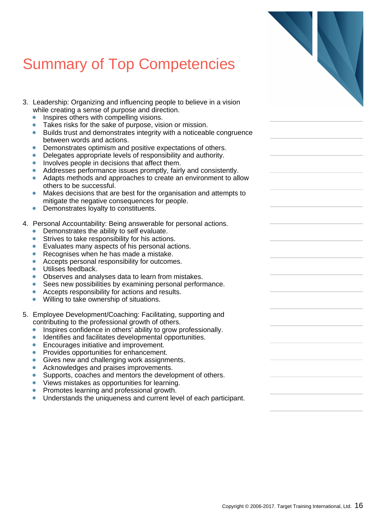### Summary of Top Competencies

- 3. Leadership: Organizing and influencing people to believe in a vision while creating a sense of purpose and direction.
	- $\bullet$ Inspires others with compelling visions.
	- Takes risks for the sake of purpose, vision or mission.  $\bullet$
	- Builds trust and demonstrates integrity with a noticeable congruence between words and actions.
	- Demonstrates optimism and positive expectations of others.
	- Delegates appropriate levels of responsibility and authority.  $\bullet$
	- Involves people in decisions that affect them.  $\bullet$
	- Addresses performance issues promptly, fairly and consistently.
	- Adapts methods and approaches to create an environment to allow  $\bullet$ others to be successful.
	- Makes decisions that are best for the organisation and attempts to mitigate the negative consequences for people.
	- Demonstrates loyalty to constituents.  $\bullet$
- 4. Personal Accountability: Being answerable for personal actions.
	- Demonstrates the ability to self evaluate.  $\bullet$
	- Strives to take responsibility for his actions.  $\bullet$
	- Evaluates many aspects of his personal actions.
	- Recognises when he has made a mistake.
	- $\bullet$ Accepts personal responsibility for outcomes.
	- Utilises feedback.  $\bullet$
	- $\bullet$ Observes and analyses data to learn from mistakes.
	- Sees new possibilities by examining personal performance.  $\bullet$
	- $\bullet$ Accepts responsibility for actions and results.
	- $\bullet$ Willing to take ownership of situations.
- 5. Employee Development/Coaching: Facilitating, supporting and contributing to the professional growth of others.
	- Inspires confidence in others' ability to grow professionally.  $\bullet$
	- ä Identifies and facilitates developmental opportunities.
	- $\blacksquare$ Encourages initiative and improvement.
	- Provides opportunities for enhancement.
	- $\bullet$ Gives new and challenging work assignments.
	- $\bullet$ Acknowledges and praises improvements.
	- Supports, coaches and mentors the development of others.  $\bullet$
	- $\bullet$ Views mistakes as opportunities for learning.
	- $\bullet$ Promotes learning and professional growth.
	- $\bullet$ Understands the uniqueness and current level of each participant.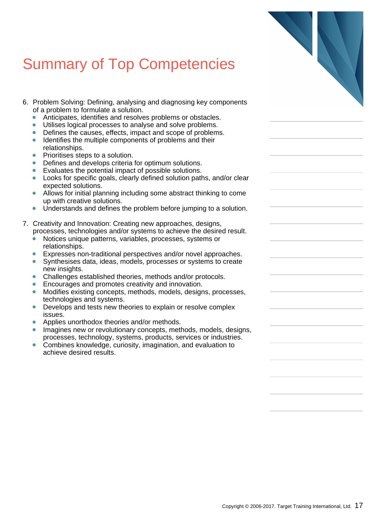### Summary of Top Competencies

- 6. Problem Solving: Defining, analysing and diagnosing key components of a problem to formulate a solution.
	- Anticipates, identifies and resolves problems or obstacle
	- $\bullet$ Utilises logical processes to analyse and solve problems.
	- Defines the causes, effects, impact and scope of problem  $\bullet$
	- Identifies the multiple components of problems and their relationships.
	- Prioritises steps to a solution.  $\bullet$
	- Defines and develops criteria for optimum solutions.  $\bullet$
	- $\bullet$ Evaluates the potential impact of possible solutions.
	- Looks for specific goals, clearly defined solution paths, and  $\bullet$ expected solutions.
	- Allows for initial planning including some abstract thinking up with creative solutions.
	- Understands and defines the problem before jumping to  $\bullet$
- 7. Creativity and Innovation: Creating new approaches, design processes, technologies and/or systems to achieve the desired result.
	- Notices unique patterns, variables, processes, systems relationships.
	- Expresses non-traditional perspectives and/or novel approximately
	- $\bullet$ Synthesises data, ideas, models, processes or systems new insights.
	- Challenges established theories, methods and/or protoc  $\bullet$
	- Encourages and promotes creativity and innovation.
	- $\bullet$ Modifies existing concepts, methods, models, designs, processes, technologies and systems.
	- Develops and tests new theories to explain or resolve complex to  $\bullet$ issues.
	- Applies unorthodox theories and/or methods.
	- Imagines new or revolutionary concepts, methods, mode processes, technology, systems, products, services or in
	- $\bullet$ Combines knowledge, curiosity, imagination, and evaluation achieve desired results.

| omponems                                |  |
|-----------------------------------------|--|
| ЭS.<br>s.<br>ms.<br>r                   |  |
| and/or clear                            |  |
| ng to come                              |  |
| a solution.                             |  |
| ns,<br>ired result.<br>or               |  |
| proaches.<br>to create                  |  |
| cols.                                   |  |
| processes,                              |  |
| omplex                                  |  |
| els, designs,<br>ndustries.<br>ation to |  |
|                                         |  |
|                                         |  |
|                                         |  |
|                                         |  |
|                                         |  |
|                                         |  |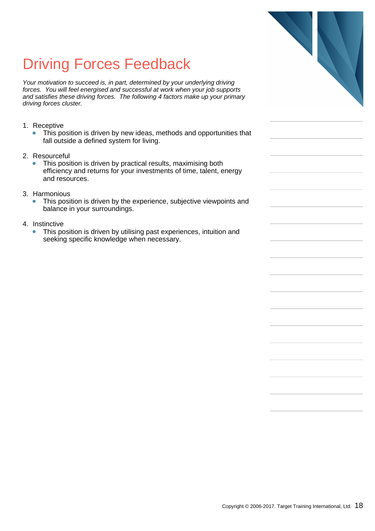### Driving Forces Feedback

Your motivation to succeed is, in part, determined by your underlying driving forces. You will feel energised and successful at work when your job supports and satisfies these driving forces. The following 4 factors make up your primary driving forces cluster.

- 1. Receptive
	- This position is driven by new ideas, methods and opportunities that fall outside a defined system for living.
- 2. Resourceful
	- $\bullet$ This position is driven by practical results, maximising both efficiency and returns for your investments of time, talent, energy and resources.
- 3. Harmonious
	- This position is driven by the experience, subjective viewpoints and  $\bullet$ balance in your surroundings.
- 4. Instinctive
	- This position is driven by utilising past experiences, intuition and  $\blacksquare$ seeking specific knowledge when necessary.

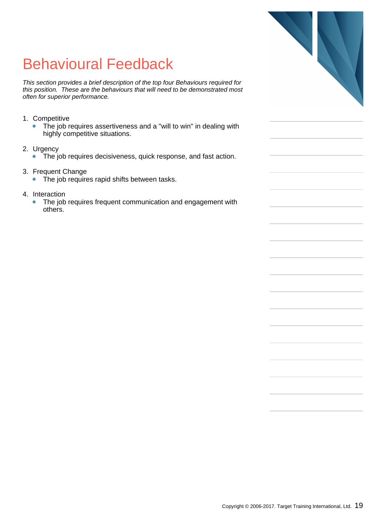### Behavioural Feedback

This section provides a brief description of the top four Behaviours required for this position. These are the behaviours that will need to be demonstrated most often for superior performance.

- 1. Competitive
	- The job requires assertiveness and a "will to win" in dealing with  $\bullet$ highly competitive situations.
- 2. Urgency
	- The job requires decisiveness, quick response, and fast action.  $\bullet$
- 3. Frequent Change
	- $\bullet$ The job requires rapid shifts between tasks.
- 4. Interaction
	- The job requires frequent communication and engagement with  $\bullet$ others.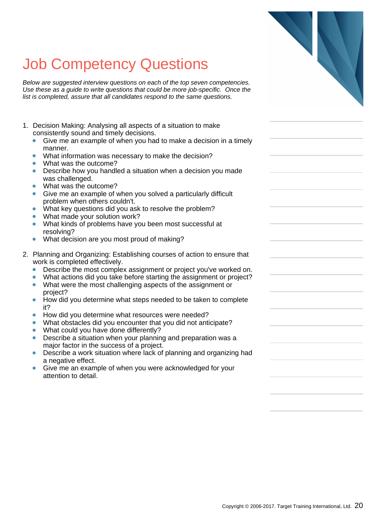Below are suggested interview questions on each of the top seven competencies. Use these as a guide to write questions that could be more job-specific. Once the list is completed, assure that all candidates respond to the same questions.

- 1. Decision Making: Analysing all aspects of a situation to make consistently sound and timely decisions.
	- Give me an example of when you had to make a decision in a timely  $\bullet$ manner.
	- $\bullet$ What information was necessary to make the decision?
	- What was the outcome?
	- Describe how you handled a situation when a decision you made  $\bullet$ was challenged.
	- What was the outcome?
	- Give me an example of when you solved a particularly difficult  $\bullet$ problem when others couldn't.
	- What key questions did you ask to resolve the problem?
	- ò What made your solution work?
	- ò What kinds of problems have you been most successful at resolving?
	- What decision are you most proud of making?
- 2. Planning and Organizing: Establishing courses of action to ensure that work is completed effectively.
	- $\bullet$ Describe the most complex assignment or project you've worked on.
	- What actions did you take before starting the assignment or project?  $\bullet$  $\bullet$ What were the most challenging aspects of the assignment or
	- project? How did you determine what steps needed to be taken to complete  $\bullet$ it?
	- How did you determine what resources were needed?
	- What obstacles did you encounter that you did not anticipate?
	- What could you have done differently?
	- Describe a situation when your planning and preparation was a major factor in the success of a project.
	- Describe a work situation where lack of planning and organizing had  $\bullet$ a negative effect.
	- Give me an example of when you were acknowledged for your  $\bullet$ attention to detail.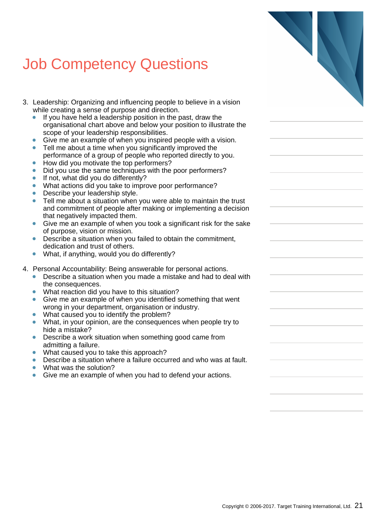- 3. Leadership: Organizing and influencing people to believe in a vision while creating a sense of purpose and direction.
	- If you have held a leadership position in the past, draw the organisational chart above and below your position to illustrate the scope of your leadership responsibilities.
	- Give me an example of when you inspired people with a vision.
	- Tell me about a time when you significantly improved the  $\bullet$ performance of a group of people who reported directly to you.
	- How did you motivate the top performers?
	- $\bullet$ Did you use the same techniques with the poor performers?
	- If not, what did you do differently?  $\bullet$
	- What actions did you take to improve poor performance?
	- Describe your leadership style.
	- $\bullet$ Tell me about a situation when you were able to maintain the trust and commitment of people after making or implementing a decision that negatively impacted them.
	- Give me an example of when you took a significant risk for the sake ò of purpose, vision or mission.
	- Describe a situation when you failed to obtain the commitment,  $\bullet$ dedication and trust of others.
	- What, if anything, would you do differently?  $\bullet$
- 4. Personal Accountability: Being answerable for personal actions.
	- $\bullet$ Describe a situation when you made a mistake and had to deal with the consequences.
	- $\bullet$ What reaction did you have to this situation?
	- Give me an example of when you identified something that went wrong in your department, organisation or industry.
	- What caused you to identify the problem?
	- What, in your opinion, are the consequences when people try to  $\bullet$ hide a mistake?
	- Describe a work situation when something good came from  $\blacksquare$ admitting a failure.
	- What caused you to take this approach?
	- Describe a situation where a failure occurred and who was at fault.
	- What was the solution?
	- Give me an example of when you had to defend your actions.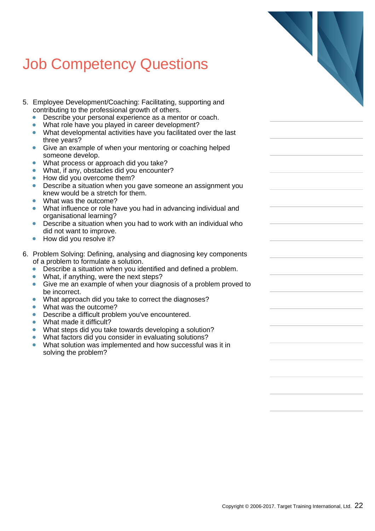- 5. Employee Development/Coaching: Facilitating, supporting and contributing to the professional growth of others.
	- Describe your personal experience as a mentor or coach.  $\bullet$
	- What role have you played in career development?  $\bullet$
	- What developmental activities have you facilitated over the last three years?
	- Give an example of when your mentoring or coaching helped  $\bullet$ someone develop.
	- What process or approach did you take?
	- $\bullet$ What, if any, obstacles did you encounter?
	- How did you overcome them?  $\bullet$
	- $\bullet$ Describe a situation when you gave someone an assignment you knew would be a stretch for them.
	- What was the outcome?
	- What influence or role have you had in advancing individual and  $\bullet$ organisational learning?
	- Describe a situation when you had to work with an individual who ò did not want to improve.
	- $\bullet$ How did you resolve it?
- 6. Problem Solving: Defining, analysing and diagnosing key components of a problem to formulate a solution.
	- Describe a situation when you identified and defined a problem.  $\bullet$
	- $\bullet$ What, if anything, were the next steps?
	- Give me an example of when your diagnosis of a problem proved to  $\bullet$ be incorrect.
	- What approach did you take to correct the diagnoses?
	- What was the outcome?  $\bullet$
	- Describe a difficult problem you've encountered.  $\bullet$
	- What made it difficult?  $\bullet$
	- What steps did you take towards developing a solution?
	- What factors did you consider in evaluating solutions?  $\bullet$
	- What solution was implemented and how successful was it in solving the problem?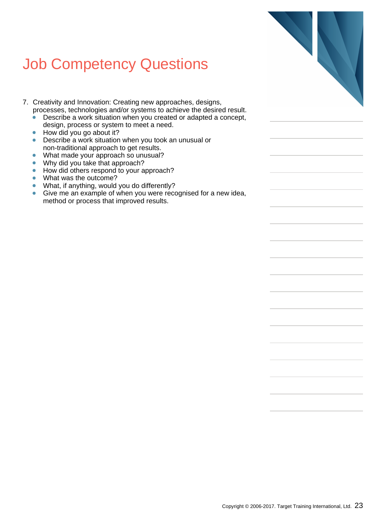- 7. Creativity and Innovation: Creating new approaches, designs, processes, technologies and/or systems to achieve the desired result.
	- Describe a work situation when you created or adapted a concept,  $\bullet$ design, process or system to meet a need.
	- $\bullet$ How did you go about it?
	- Describe a work situation when you took an unusual or  $\bullet$ non-traditional approach to get results.
	- $\bullet$ What made your approach so unusual?
	- Why did you take that approach?  $\bullet$
	- How did others respond to your approach?  $\bullet$
	- What was the outcome?  $\bullet$
	- What, if anything, would you do differently?  $\bullet$
	- $\bullet$ Give me an example of when you were recognised for a new idea, method or process that improved results.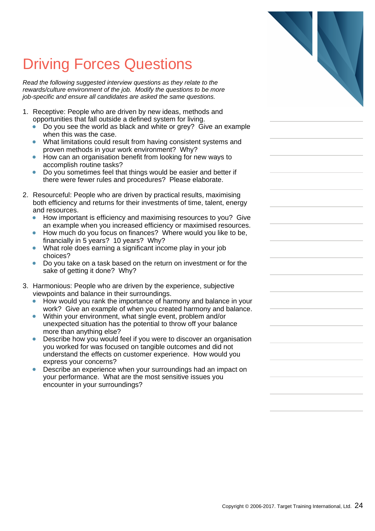### Driving Forces Questions

Read the following suggested interview questions as they relate to the rewards/culture environment of the job. Modify the questions to be more job-specific and ensure all candidates are asked the same questions.

- 1. Receptive: People who are driven by new ideas, methods and opportunities that fall outside a defined system for living.
	- $\bullet$ Do you see the world as black and white or grey? Give an example when this was the case.
	- What limitations could result from having consistent systems and  $\bullet$ proven methods in your work environment? Why?
	- How can an organisation benefit from looking for new ways to  $\bullet$ accomplish routine tasks?
	- Do you sometimes feel that things would be easier and better if ä there were fewer rules and procedures? Please elaborate.
- 2. Resourceful: People who are driven by practical results, maximising both efficiency and returns for their investments of time, talent, energy and resources.
	- How important is efficiency and maximising resources to you? Give an example when you increased efficiency or maximised resources.
	- How much do you focus on finances? Where would you like to be, financially in 5 years? 10 years? Why?
	- $\bullet$ What role does earning a significant income play in your job choices?
	- Do you take on a task based on the return on investment or for the ٠ sake of getting it done? Why?
- 3. Harmonious: People who are driven by the experience, subjective viewpoints and balance in their surroundings.
	- How would you rank the importance of harmony and balance in your work? Give an example of when you created harmony and balance.
	- Within your environment, what single event, problem and/or  $\bullet$ unexpected situation has the potential to throw off your balance more than anything else?
	- Describe how you would feel if you were to discover an organisation  $\bullet$ you worked for was focused on tangible outcomes and did not understand the effects on customer experience. How would you express your concerns?
	- Describe an experience when your surroundings had an impact on  $\bullet$ your performance. What are the most sensitive issues you encounter in your surroundings?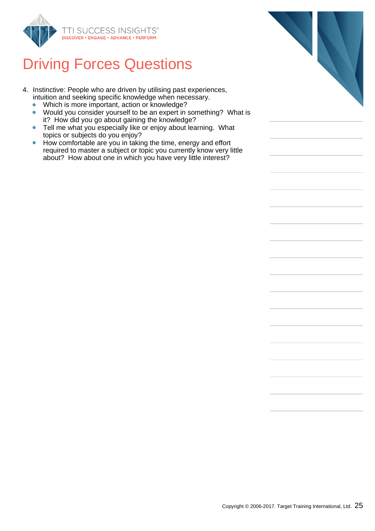

#### Driving Forces Questions

- 4. Instinctive: People who are driven by utilising past experiences, intuition and seeking specific knowledge when necessary.
	- Which is more important, action or knowledge?  $\bullet$
	- Would you consider yourself to be an expert in something? What is  $\bullet$ it? How did you go about gaining the knowledge?
	- Tell me what you especially like or enjoy about learning. What  $\bullet$ topics or subjects do you enjoy?
	- How comfortable are you in taking the time, energy and effort  $\bullet$ required to master a subject or topic you currently know very little about? How about one in which you have very little interest?

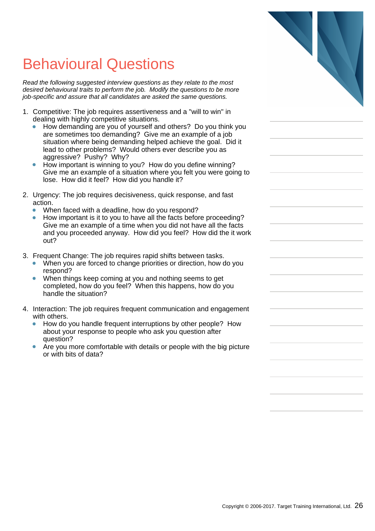### Behavioural Questions

Read the following suggested interview questions as they relate to the most desired behavioural traits to perform the job. Modify the questions to be more job-specific and assure that all candidates are asked the same questions.

- 1. Competitive: The job requires assertiveness and a "will to win" in dealing with highly competitive situations.
	- $\bullet$ How demanding are you of yourself and others? Do you think you are sometimes too demanding? Give me an example of a job situation where being demanding helped achieve the goal. Did it lead to other problems? Would others ever describe you as aggressive? Pushy? Why?
	- $\blacksquare$ How important is winning to you? How do you define winning? Give me an example of a situation where you felt you were going to lose. How did it feel? How did you handle it?
- 2. Urgency: The job requires decisiveness, quick response, and fast action.
	- $\bullet$ When faced with a deadline, how do you respond?
	- How important is it to you to have all the facts before proceeding? Give me an example of a time when you did not have all the facts and you proceeded anyway. How did you feel? How did the it work out?
- 3. Frequent Change: The job requires rapid shifts between tasks.
	- When you are forced to change priorities or direction, how do you  $\bullet$ respond?
	- $\bullet$ When things keep coming at you and nothing seems to get completed, how do you feel? When this happens, how do you handle the situation?
- 4. Interaction: The job requires frequent communication and engagement with others.
	- How do you handle frequent interruptions by other people? How about your response to people who ask you question after question?
	- Are you more comfortable with details or people with the big picture  $\bullet$ or with bits of data?